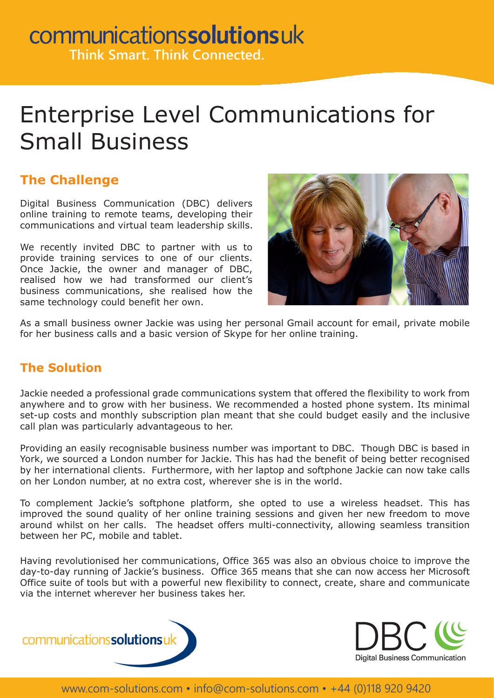## communicationssolutionsuk **Think Smart. Think Connected.**

Enterprise Level Communications for Small Business

### **The Challenge**

Digital Business Communication (DBC) delivers online training to remote teams, developing their communications and virtual team leadership skills.

We recently invited DBC to partner with us to provide training services to one of our clients. Once Jackie, the owner and manager of DBC, realised how we had transformed our client's business communications, she realised how the same technology could benefit her own.



As a small business owner Jackie was using her personal Gmail account for email, private mobile for her business calls and a basic version of Skype for her online training.

#### **The Solution**

Jackie needed a professional grade communications system that offered the flexibility to work from anywhere and to grow with her business. We recommended a hosted phone system. Its minimal set-up costs and monthly subscription plan meant that she could budget easily and the inclusive call plan was particularly advantageous to her.

Providing an easily recognisable business number was important to DBC. Though DBC is based in York, we sourced a London number for Jackie. This has had the benefit of being better recognised by her international clients. Furthermore, with her laptop and softphone Jackie can now take calls on her London number, at no extra cost, wherever she is in the world.

To complement Jackie's softphone platform, she opted to use a wireless headset. This has improved the sound quality of her online training sessions and given her new freedom to move around whilst on her calls. The headset offers multi-connectivity, allowing seamless transition between her PC, mobile and tablet.

Having revolutionised her communications, Office 365 was also an obvious choice to improve the day-to-day running of Jackie's business. Office 365 means that she can now access her Microsoft Office suite of tools but with a powerful new flexibility to connect, create, share and communicate via the internet wherever her business takes her.